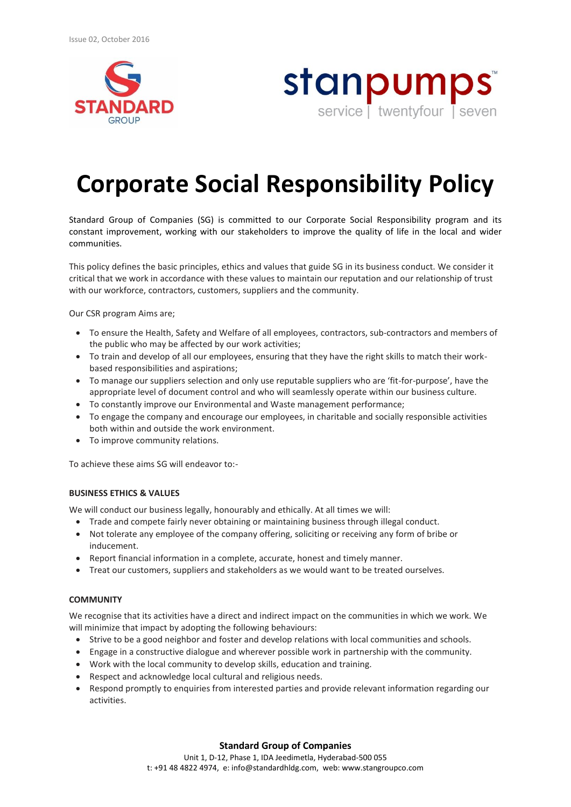



# **Corporate Social Responsibility Policy**

Standard Group of Companies (SG) is committed to our Corporate Social Responsibility program and its constant improvement, working with our stakeholders to improve the quality of life in the local and wider communities.

This policy defines the basic principles, ethics and values that guide SG in its business conduct. We consider it critical that we work in accordance with these values to maintain our reputation and our relationship of trust with our workforce, contractors, customers, suppliers and the community.

Our CSR program Aims are;

- To ensure the Health, Safety and Welfare of all employees, contractors, sub-contractors and members of the public who may be affected by our work activities;
- To train and develop of all our employees, ensuring that they have the right skills to match their workbased responsibilities and aspirations;
- To manage our suppliers selection and only use reputable suppliers who are 'fit-for-purpose', have the appropriate level of document control and who will seamlessly operate within our business culture.
- To constantly improve our Environmental and Waste management performance;
- To engage the company and encourage our employees, in charitable and socially responsible activities both within and outside the work environment.
- To improve community relations.

To achieve these aims SG will endeavor to:-

## **BUSINESS ETHICS & VALUES**

We will conduct our business legally, honourably and ethically. At all times we will:

- Trade and compete fairly never obtaining or maintaining business through illegal conduct.
- Not tolerate any employee of the company offering, soliciting or receiving any form of bribe or inducement.
- Report financial information in a complete, accurate, honest and timely manner.
- Treat our customers, suppliers and stakeholders as we would want to be treated ourselves.

## **COMMUNITY**

We recognise that its activities have a direct and indirect impact on the communities in which we work. We will minimize that impact by adopting the following behaviours:

- Strive to be a good neighbor and foster and develop relations with local communities and schools.
- Engage in a constructive dialogue and wherever possible work in partnership with the community.
- Work with the local community to develop skills, education and training.
- Respect and acknowledge local cultural and religious needs.
- Respond promptly to enquiries from interested parties and provide relevant information regarding our activities.

## **Standard Group of Companies**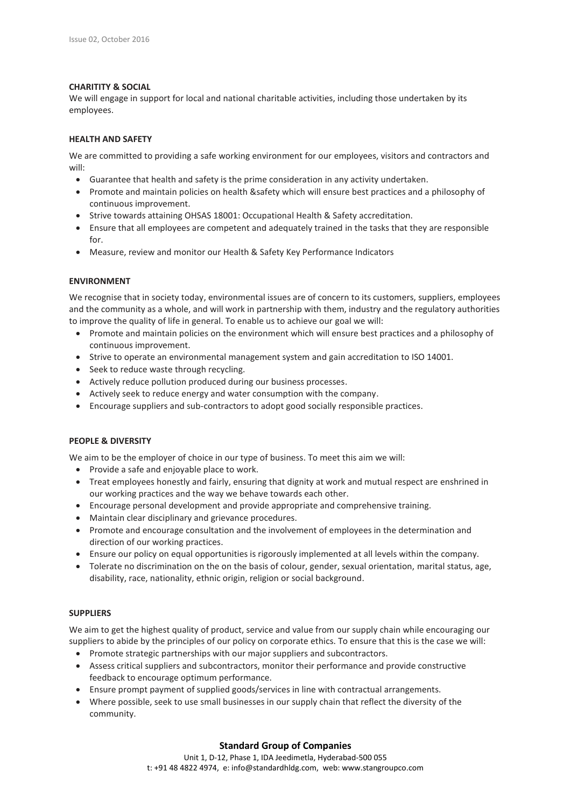## **CHARITITY & SOCIAL**

We will engage in support for local and national charitable activities, including those undertaken by its employees.

## **HEALTH AND SAFETY**

We are committed to providing a safe working environment for our employees, visitors and contractors and will:

- Guarantee that health and safety is the prime consideration in any activity undertaken.
- Promote and maintain policies on health &safety which will ensure best practices and a philosophy of continuous improvement.
- Strive towards attaining OHSAS 18001: Occupational Health & Safety accreditation.
- Ensure that all employees are competent and adequately trained in the tasks that they are responsible for.
- Measure, review and monitor our Health & Safety Key Performance Indicators

### **ENVIRONMENT**

We recognise that in society today, environmental issues are of concern to its customers, suppliers, employees and the community as a whole, and will work in partnership with them, industry and the regulatory authorities to improve the quality of life in general. To enable us to achieve our goal we will:

- Promote and maintain policies on the environment which will ensure best practices and a philosophy of continuous improvement.
- Strive to operate an environmental management system and gain accreditation to ISO 14001.
- Seek to reduce waste through recycling.
- Actively reduce pollution produced during our business processes.
- Actively seek to reduce energy and water consumption with the company.
- Encourage suppliers and sub-contractors to adopt good socially responsible practices.

## **PEOPLE & DIVERSITY**

We aim to be the employer of choice in our type of business. To meet this aim we will:

- Provide a safe and enjoyable place to work.
- Treat employees honestly and fairly, ensuring that dignity at work and mutual respect are enshrined in our working practices and the way we behave towards each other.
- Encourage personal development and provide appropriate and comprehensive training.
- Maintain clear disciplinary and grievance procedures.
- Promote and encourage consultation and the involvement of employees in the determination and direction of our working practices.
- Ensure our policy on equal opportunities is rigorously implemented at all levels within the company.
- Tolerate no discrimination on the on the basis of colour, gender, sexual orientation, marital status, age, disability, race, nationality, ethnic origin, religion or social background.

## **SUPPLIERS**

We aim to get the highest quality of product, service and value from our supply chain while encouraging our suppliers to abide by the principles of our policy on corporate ethics. To ensure that this is the case we will:

- Promote strategic partnerships with our major suppliers and subcontractors.
- Assess critical suppliers and subcontractors, monitor their performance and provide constructive feedback to encourage optimum performance.
- Ensure prompt payment of supplied goods/services in line with contractual arrangements.
- Where possible, seek to use small businesses in our supply chain that reflect the diversity of the community.

## **Standard Group of Companies**